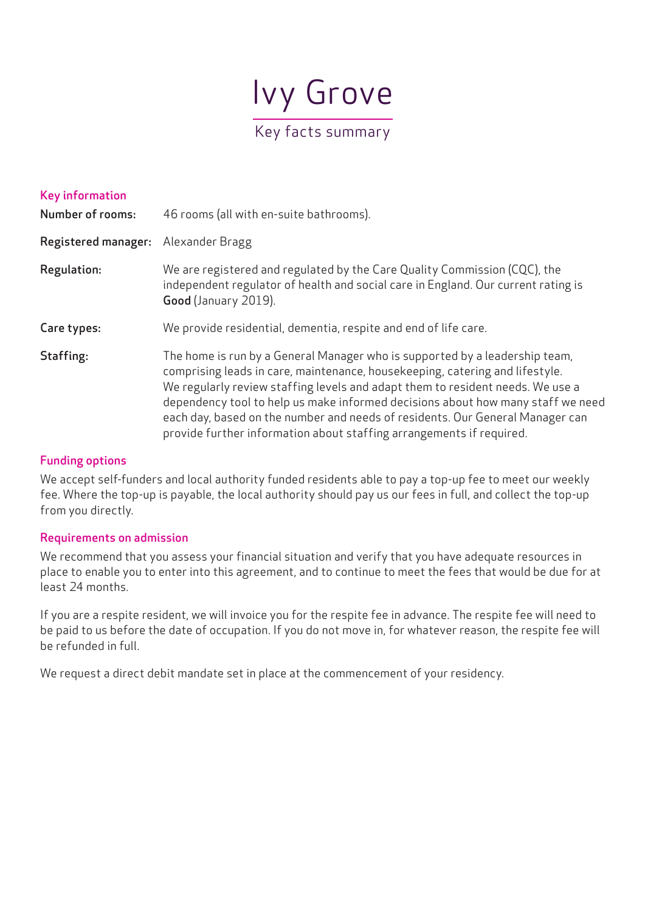

| <b>Key information</b><br><b>Number of rooms:</b> | 46 rooms (all with en-suite bathrooms).                                                                                                                                                                                                                                                                                                                                                                                                                                                   |
|---------------------------------------------------|-------------------------------------------------------------------------------------------------------------------------------------------------------------------------------------------------------------------------------------------------------------------------------------------------------------------------------------------------------------------------------------------------------------------------------------------------------------------------------------------|
|                                                   |                                                                                                                                                                                                                                                                                                                                                                                                                                                                                           |
| <b>Registered manager:</b>                        | Alexander Bragg                                                                                                                                                                                                                                                                                                                                                                                                                                                                           |
| <b>Regulation:</b>                                | We are registered and regulated by the Care Quality Commission (CQC), the<br>independent regulator of health and social care in England. Our current rating is<br>Good (January 2019).                                                                                                                                                                                                                                                                                                    |
| Care types:                                       | We provide residential, dementia, respite and end of life care.                                                                                                                                                                                                                                                                                                                                                                                                                           |
| Staffing:                                         | The home is run by a General Manager who is supported by a leadership team,<br>comprising leads in care, maintenance, housekeeping, catering and lifestyle.<br>We regularly review staffing levels and adapt them to resident needs. We use a<br>dependency tool to help us make informed decisions about how many staff we need<br>each day, based on the number and needs of residents. Our General Manager can<br>provide further information about staffing arrangements if required. |

# Funding options

We accept self-funders and local authority funded residents able to pay a top-up fee to meet our weekly fee. Where the top-up is payable, the local authority should pay us our fees in full, and collect the top-up from you directly.

## Requirements on admission

We recommend that you assess your financial situation and verify that you have adequate resources in place to enable you to enter into this agreement, and to continue to meet the fees that would be due for at least 24 months.

If you are a respite resident, we will invoice you for the respite fee in advance. The respite fee will need to be paid to us before the date of occupation. If you do not move in, for whatever reason, the respite fee will be refunded in full.

We request a direct debit mandate set in place at the commencement of your residency.